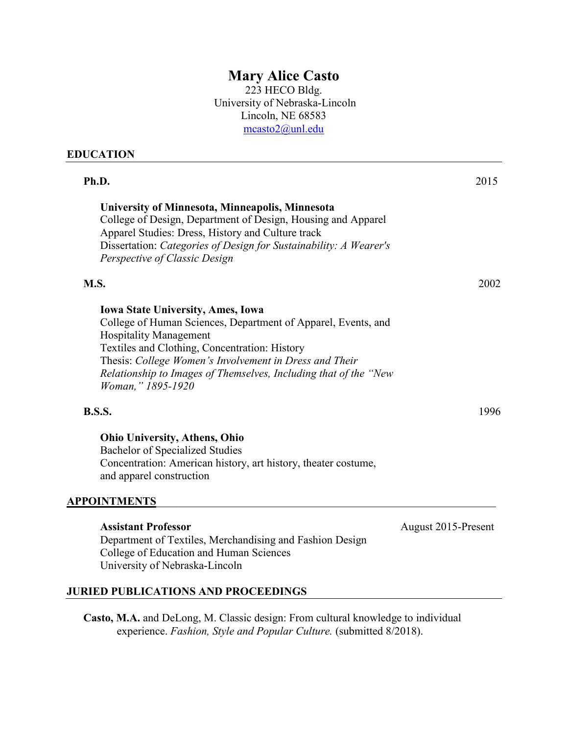# **Mary Alice Casto**

223 HECO Bldg. University of Nebraska-Lincoln Lincoln, NE 68583 [mcasto2@unl.edu](mailto:mcasto2@unl.edu)

### **EDUCATION**

| Ph.D.                                                                                                                                                                                                                                                                                                                                          | 2015 |
|------------------------------------------------------------------------------------------------------------------------------------------------------------------------------------------------------------------------------------------------------------------------------------------------------------------------------------------------|------|
| University of Minnesota, Minneapolis, Minnesota<br>College of Design, Department of Design, Housing and Apparel<br>Apparel Studies: Dress, History and Culture track<br>Dissertation: Categories of Design for Sustainability: A Wearer's<br>Perspective of Classic Design                                                                     |      |
| M.S.                                                                                                                                                                                                                                                                                                                                           | 2002 |
| <b>Iowa State University, Ames, Iowa</b><br>College of Human Sciences, Department of Apparel, Events, and<br><b>Hospitality Management</b><br>Textiles and Clothing, Concentration: History<br>Thesis: College Women's Involvement in Dress and Their<br>Relationship to Images of Themselves, Including that of the "New<br>Woman," 1895-1920 |      |
| <b>B.S.S.</b>                                                                                                                                                                                                                                                                                                                                  | 1996 |
| <b>Ohio University, Athens, Ohio</b><br>Bachelor of Specialized Studies<br>Concentration: American history, art history, theater costume,                                                                                                                                                                                                      |      |

### **APPOINTMENTS**\_\_\_\_\_\_\_\_\_\_\_\_\_\_\_\_\_\_\_\_\_\_\_\_\_\_\_\_\_\_\_\_\_\_\_\_\_\_\_\_\_\_\_\_\_\_\_\_\_\_\_\_\_\_\_\_\_\_\_\_\_

and apparel construction

# Assistant Professor<br>
August 2015-Present Department of Textiles, Merchandising and Fashion Design College of Education and Human Sciences University of Nebraska-Lincoln

# **JURIED PUBLICATIONS AND PROCEEDINGS**

**Casto, M.A.** and DeLong, M. Classic design: From cultural knowledge to individual experience. *Fashion, Style and Popular Culture.* (submitted 8/2018).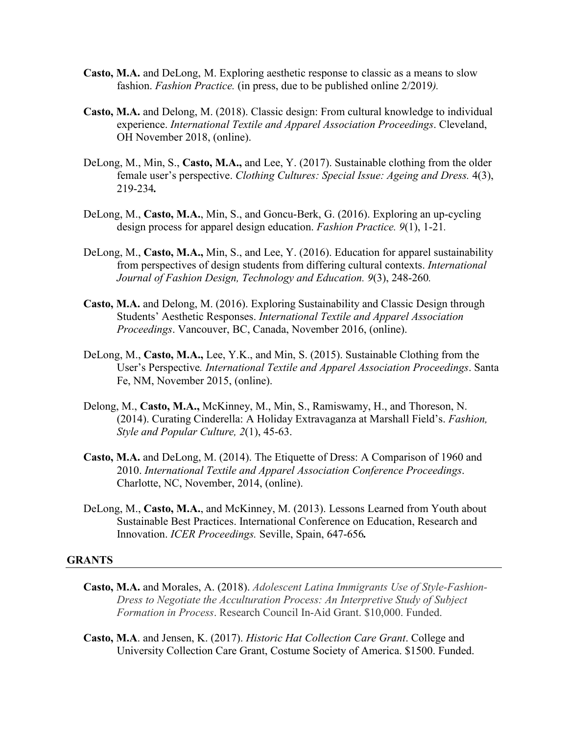- **Casto, M.A.** and DeLong, M. Exploring aesthetic response to classic as a means to slow fashion. *Fashion Practice.* (in press, due to be published online 2/2019*).*
- **Casto, M.A.** and Delong, M. (2018). Classic design: From cultural knowledge to individual experience. *International Textile and Apparel Association Proceedings*. Cleveland, OH November 2018, (online).
- DeLong, M., Min, S., **Casto, M.A.,** and Lee, Y. (2017). Sustainable clothing from the older female user's perspective. *Clothing Cultures: Special Issue: Ageing and Dress.* 4(3), 219-234*.*
- DeLong, M., **Casto, M.A.**, Min, S., and Goncu-Berk, G. (2016). Exploring an up-cycling design process for apparel design education. *Fashion Practice. 9*(1), 1-21*.*
- DeLong, M., **Casto, M.A.,** Min, S., and Lee, Y. (2016). Education for apparel sustainability from perspectives of design students from differing cultural contexts. *International Journal of Fashion Design, Technology and Education. 9*(3), 248-260*.*
- **Casto, M.A.** and Delong, M. (2016). Exploring Sustainability and Classic Design through Students' Aesthetic Responses. *International Textile and Apparel Association Proceedings*. Vancouver, BC, Canada, November 2016, (online).
- DeLong, M., **Casto, M.A.,** Lee, Y.K., and Min, S. (2015). Sustainable Clothing from the User's Perspective*. International Textile and Apparel Association Proceedings*. Santa Fe, NM, November 2015, (online).
- Delong, M., **Casto, M.A.,** McKinney, M., Min, S., Ramiswamy, H., and Thoreson, N. (2014). Curating Cinderella: A Holiday Extravaganza at Marshall Field's. *Fashion, Style and Popular Culture, 2*(1), 45-63.
- **Casto, M.A.** and DeLong, M. (2014). The Etiquette of Dress: A Comparison of 1960 and 2010. *International Textile and Apparel Association Conference Proceedings*. Charlotte, NC, November, 2014, (online).
- DeLong, M., **Casto, M.A.**, and McKinney, M. (2013). Lessons Learned from Youth about Sustainable Best Practices. International Conference on Education, Research and Innovation. *ICER Proceedings.* Seville, Spain, 647-656*.*

#### **GRANTS**

- **Casto, M.A.** and Morales, A. (2018). *Adolescent Latina Immigrants Use of Style-Fashion-Dress to Negotiate the Acculturation Process: An Interpretive Study of Subject Formation in Process*. Research Council In-Aid Grant. \$10,000. Funded.
- **Casto, M.A**. and Jensen, K. (2017). *Historic Hat Collection Care Grant*. College and University Collection Care Grant, Costume Society of America. \$1500. Funded.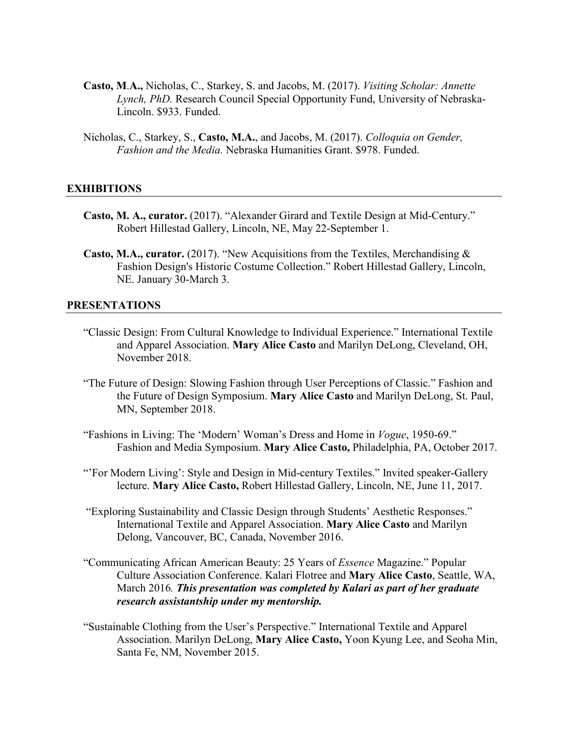- **Casto, M**.**A.,** Nicholas, C., Starkey, S. and Jacobs, M. (2017). *Visiting Scholar: Annette Lynch, PhD.* Research Council Special Opportunity Fund, University of Nebraska-Lincoln. \$933. Funded.
- Nicholas, C., Starkey, S., **Casto, M.A.**, and Jacobs, M. (2017). *Colloquia on Gender, Fashion and the Media.* Nebraska Humanities Grant. \$978. Funded.

### **EXHIBITIONS**

- **Casto, M. A., curator.** (2017). "Alexander Girard and Textile Design at Mid-Century." Robert Hillestad Gallery, Lincoln, NE, May 22-September 1.
- **Casto, M.A., curator.** (2017). "New Acquisitions from the Textiles, Merchandising & Fashion Design's Historic Costume Collection." Robert Hillestad Gallery, Lincoln, NE. January 30-March 3.

### **PRESENTATIONS**

- "Classic Design: From Cultural Knowledge to Individual Experience." International Textile and Apparel Association. **Mary Alice Casto** and Marilyn DeLong, Cleveland, OH, November 2018.
- "The Future of Design: Slowing Fashion through User Perceptions of Classic." Fashion and the Future of Design Symposium. **Mary Alice Casto** and Marilyn DeLong, St. Paul, MN, September 2018.
- "Fashions in Living: The 'Modern' Woman's Dress and Home in *Vogue*, 1950-69." Fashion and Media Symposium. **Mary Alice Casto,** Philadelphia, PA, October 2017.
- "'For Modern Living': Style and Design in Mid-century Textiles." Invited speaker-Gallery lecture. **Mary Alice Casto,** Robert Hillestad Gallery, Lincoln, NE, June 11, 2017.
- "Exploring Sustainability and Classic Design through Students' Aesthetic Responses." International Textile and Apparel Association. **Mary Alice Casto** and Marilyn Delong, Vancouver, BC, Canada, November 2016.
- "Communicating African American Beauty: 25 Years of *Essence* Magazine." Popular Culture Association Conference. Kalari Flotree and **Mary Alice Casto**, Seattle, WA, March 2016*. This presentation was completed by Kalari as part of her graduate research assistantship under my mentorship.*
- "Sustainable Clothing from the User's Perspective." International Textile and Apparel Association. Marilyn DeLong, **Mary Alice Casto,** Yoon Kyung Lee, and Seoha Min, Santa Fe, NM, November 2015.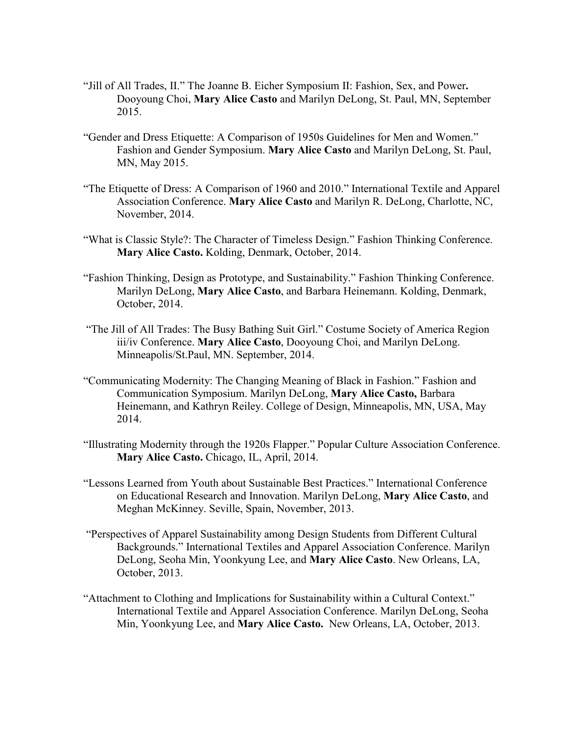- "Jill of All Trades, II." The Joanne B. Eicher Symposium II: Fashion, Sex, and Power**.**  Dooyoung Choi, **Mary Alice Casto** and Marilyn DeLong, St. Paul, MN, September 2015.
- "Gender and Dress Etiquette: A Comparison of 1950s Guidelines for Men and Women." Fashion and Gender Symposium. **Mary Alice Casto** and Marilyn DeLong, St. Paul, MN, May 2015.
- "The Etiquette of Dress: A Comparison of 1960 and 2010." International Textile and Apparel Association Conference. **Mary Alice Casto** and Marilyn R. DeLong, Charlotte, NC, November, 2014.
- "What is Classic Style?: The Character of Timeless Design." Fashion Thinking Conference. **Mary Alice Casto.** Kolding, Denmark, October, 2014.
- "Fashion Thinking, Design as Prototype, and Sustainability." Fashion Thinking Conference. Marilyn DeLong, **Mary Alice Casto**, and Barbara Heinemann. Kolding, Denmark, October, 2014.
- "The Jill of All Trades: The Busy Bathing Suit Girl." Costume Society of America Region iii/iv Conference. **Mary Alice Casto**, Dooyoung Choi, and Marilyn DeLong. Minneapolis/St.Paul, MN. September, 2014.
- "Communicating Modernity: The Changing Meaning of Black in Fashion." Fashion and Communication Symposium. Marilyn DeLong, **Mary Alice Casto,** Barbara Heinemann, and Kathryn Reiley. College of Design, Minneapolis, MN, USA, May 2014.
- "Illustrating Modernity through the 1920s Flapper." Popular Culture Association Conference. **Mary Alice Casto.** Chicago, IL, April, 2014.
- "Lessons Learned from Youth about Sustainable Best Practices." International Conference on Educational Research and Innovation. Marilyn DeLong, **Mary Alice Casto**, and Meghan McKinney. Seville, Spain, November, 2013.
- "Perspectives of Apparel Sustainability among Design Students from Different Cultural Backgrounds." International Textiles and Apparel Association Conference. Marilyn DeLong, Seoha Min, Yoonkyung Lee, and **Mary Alice Casto**. New Orleans, LA, October, 2013.
- "Attachment to Clothing and Implications for Sustainability within a Cultural Context." International Textile and Apparel Association Conference. Marilyn DeLong, Seoha Min, Yoonkyung Lee, and **Mary Alice Casto.** New Orleans, LA, October, 2013.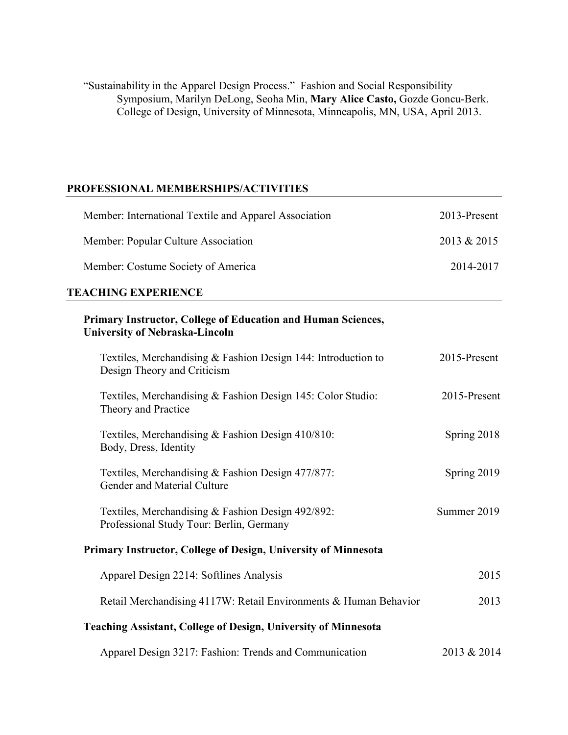"Sustainability in the Apparel Design Process." Fashion and Social Responsibility Symposium, Marilyn DeLong, Seoha Min, **Mary Alice Casto,** Gozde Goncu-Berk. College of Design, University of Minnesota, Minneapolis, MN, USA, April 2013.

## **PROFESSIONAL MEMBERSHIPS/ACTIVITIES**

| Member: International Textile and Apparel Association                                                 | 2013-Present |
|-------------------------------------------------------------------------------------------------------|--------------|
| Member: Popular Culture Association                                                                   | 2013 & 2015  |
| Member: Costume Society of America                                                                    | 2014-2017    |
| <b>TEACHING EXPERIENCE</b>                                                                            |              |
| Primary Instructor, College of Education and Human Sciences,<br><b>University of Nebraska-Lincoln</b> |              |
| Textiles, Merchandising & Fashion Design 144: Introduction to<br>Design Theory and Criticism          | 2015-Present |
| Textiles, Merchandising & Fashion Design 145: Color Studio:<br>Theory and Practice                    | 2015-Present |
| Textiles, Merchandising & Fashion Design 410/810:<br>Body, Dress, Identity                            | Spring 2018  |
| Textiles, Merchandising & Fashion Design 477/877:<br>Gender and Material Culture                      | Spring 2019  |
| Textiles, Merchandising & Fashion Design 492/892:<br>Professional Study Tour: Berlin, Germany         | Summer 2019  |
| Primary Instructor, College of Design, University of Minnesota                                        |              |
| Apparel Design 2214: Softlines Analysis                                                               | 2015         |
| Retail Merchandising 4117W: Retail Environments & Human Behavior                                      | 2013         |
| <b>Teaching Assistant, College of Design, University of Minnesota</b>                                 |              |
| Apparel Design 3217: Fashion: Trends and Communication                                                | 2013 & 2014  |